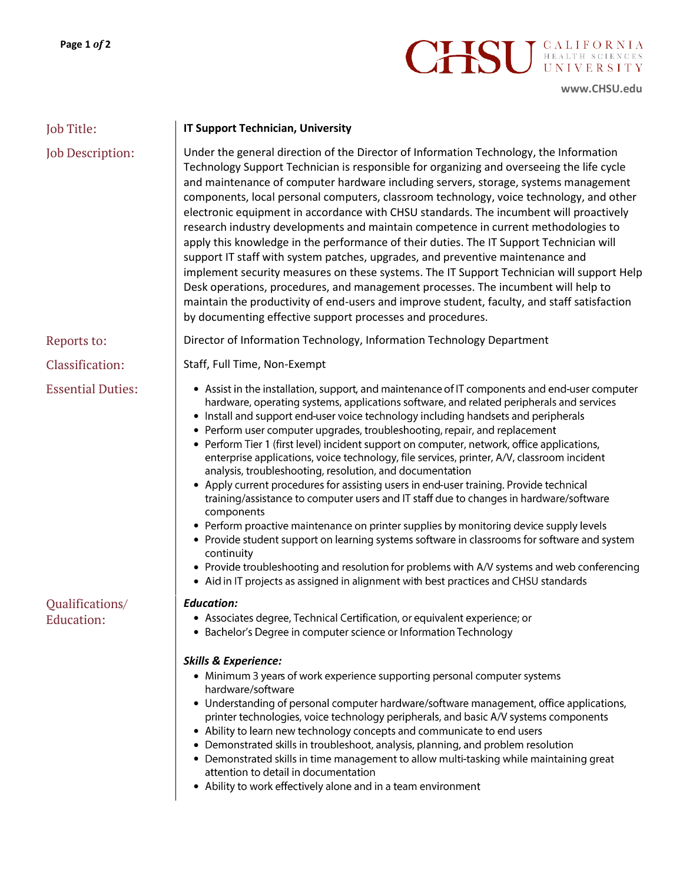

**[www.CHSU.edu](http://www.chsu.edu/)**

| Job Title:                    | <b>IT Support Technician, University</b>                                                                                                                                                                                                                                                                                                                                                                                                                                                                                                                                                                                                                                                                                                                                                                                                                                                                                                                                                                                                                                                                                                                                                                               |
|-------------------------------|------------------------------------------------------------------------------------------------------------------------------------------------------------------------------------------------------------------------------------------------------------------------------------------------------------------------------------------------------------------------------------------------------------------------------------------------------------------------------------------------------------------------------------------------------------------------------------------------------------------------------------------------------------------------------------------------------------------------------------------------------------------------------------------------------------------------------------------------------------------------------------------------------------------------------------------------------------------------------------------------------------------------------------------------------------------------------------------------------------------------------------------------------------------------------------------------------------------------|
| Job Description:              | Under the general direction of the Director of Information Technology, the Information<br>Technology Support Technician is responsible for organizing and overseeing the life cycle<br>and maintenance of computer hardware including servers, storage, systems management<br>components, local personal computers, classroom technology, voice technology, and other<br>electronic equipment in accordance with CHSU standards. The incumbent will proactively<br>research industry developments and maintain competence in current methodologies to<br>apply this knowledge in the performance of their duties. The IT Support Technician will<br>support IT staff with system patches, upgrades, and preventive maintenance and<br>implement security measures on these systems. The IT Support Technician will support Help<br>Desk operations, procedures, and management processes. The incumbent will help to<br>maintain the productivity of end-users and improve student, faculty, and staff satisfaction<br>by documenting effective support processes and procedures.                                                                                                                                      |
| Reports to:                   | Director of Information Technology, Information Technology Department                                                                                                                                                                                                                                                                                                                                                                                                                                                                                                                                                                                                                                                                                                                                                                                                                                                                                                                                                                                                                                                                                                                                                  |
| Classification:               | Staff, Full Time, Non-Exempt                                                                                                                                                                                                                                                                                                                                                                                                                                                                                                                                                                                                                                                                                                                                                                                                                                                                                                                                                                                                                                                                                                                                                                                           |
| <b>Essential Duties:</b>      | • Assist in the installation, support, and maintenance of IT components and end-user computer<br>hardware, operating systems, applications software, and related peripherals and services<br>• Install and support end-user voice technology including handsets and peripherals<br>• Perform user computer upgrades, troubleshooting, repair, and replacement<br>• Perform Tier 1 (first level) incident support on computer, network, office applications,<br>enterprise applications, voice technology, file services, printer, A/V, classroom incident<br>analysis, troubleshooting, resolution, and documentation<br>• Apply current procedures for assisting users in end-user training. Provide technical<br>training/assistance to computer users and IT staff due to changes in hardware/software<br>components<br>• Perform proactive maintenance on printer supplies by monitoring device supply levels<br>• Provide student support on learning systems software in classrooms for software and system<br>continuity<br>• Provide troubleshooting and resolution for problems with A/V systems and web conferencing<br>• Aid in IT projects as assigned in alignment with best practices and CHSU standards |
| Qualifications/<br>Education: | <b>Education:</b><br>Associates degree, Technical Certification, or equivalent experience; or<br>• Bachelor's Degree in computer science or Information Technology                                                                                                                                                                                                                                                                                                                                                                                                                                                                                                                                                                                                                                                                                                                                                                                                                                                                                                                                                                                                                                                     |
|                               | <b>Skills &amp; Experience:</b><br>• Minimum 3 years of work experience supporting personal computer systems<br>hardware/software<br>• Understanding of personal computer hardware/software management, office applications,<br>printer technologies, voice technology peripherals, and basic A/V systems components<br>• Ability to learn new technology concepts and communicate to end users<br>• Demonstrated skills in troubleshoot, analysis, planning, and problem resolution<br>• Demonstrated skills in time management to allow multi-tasking while maintaining great<br>attention to detail in documentation<br>• Ability to work effectively alone and in a team environment                                                                                                                                                                                                                                                                                                                                                                                                                                                                                                                               |